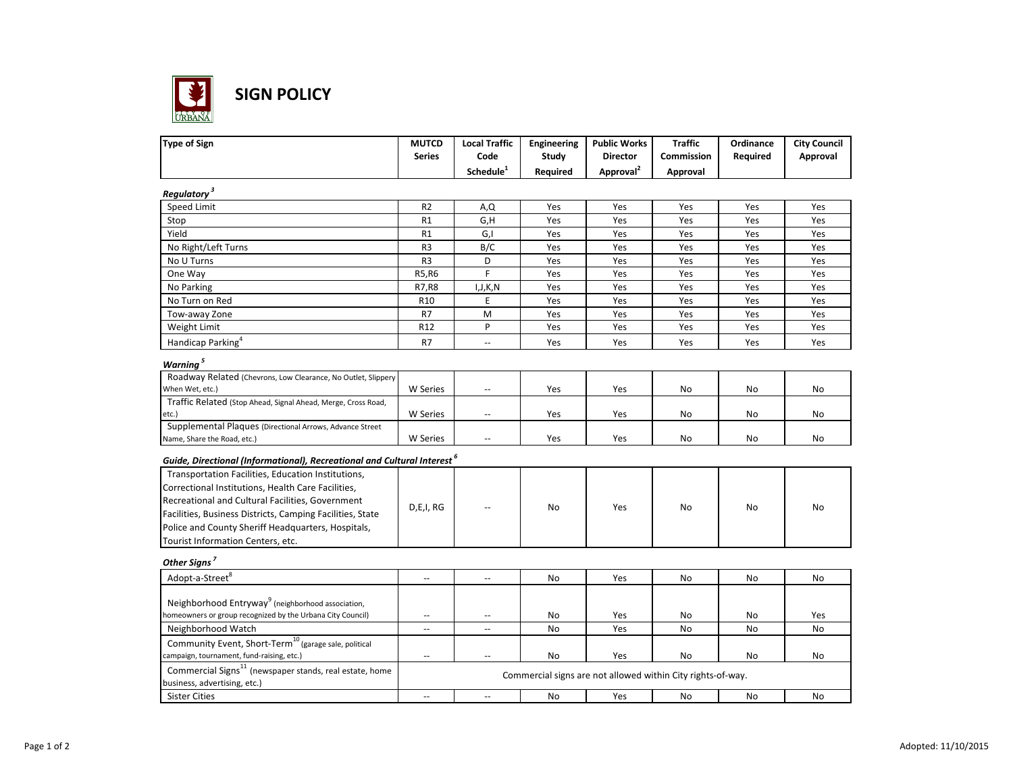

**SIGN POLICY**

| <b>MUTCD</b>             | <b>Local Traffic</b>                                                          | Engineering                                                                                                                                                                                            | <b>Public Works</b>                                    | <b>Traffic</b>                                              | Ordinance                                           | <b>City Council</b>                                                                                                |
|--------------------------|-------------------------------------------------------------------------------|--------------------------------------------------------------------------------------------------------------------------------------------------------------------------------------------------------|--------------------------------------------------------|-------------------------------------------------------------|-----------------------------------------------------|--------------------------------------------------------------------------------------------------------------------|
| <b>Series</b>            | Code                                                                          | Study                                                                                                                                                                                                  | <b>Director</b>                                        | Commission                                                  | Required                                            | Approval                                                                                                           |
|                          | Schedule <sup>1</sup>                                                         | Required                                                                                                                                                                                               | Approval <sup>2</sup>                                  | Approval                                                    |                                                     |                                                                                                                    |
|                          |                                                                               |                                                                                                                                                                                                        |                                                        |                                                             |                                                     |                                                                                                                    |
| R <sub>2</sub>           |                                                                               | Yes                                                                                                                                                                                                    | Yes                                                    | Yes                                                         | Yes                                                 | Yes                                                                                                                |
| R1                       | G,H                                                                           | Yes                                                                                                                                                                                                    | Yes                                                    | Yes                                                         | Yes                                                 | Yes                                                                                                                |
| R1                       | G,I                                                                           | Yes                                                                                                                                                                                                    | Yes                                                    | Yes                                                         | Yes                                                 | Yes                                                                                                                |
| R <sub>3</sub>           |                                                                               | Yes                                                                                                                                                                                                    | Yes                                                    | Yes                                                         | Yes                                                 | Yes                                                                                                                |
| R <sub>3</sub>           | D                                                                             | Yes                                                                                                                                                                                                    | Yes                                                    | Yes                                                         | Yes                                                 | Yes                                                                                                                |
| R5, R6                   | F                                                                             | Yes                                                                                                                                                                                                    | Yes                                                    | Yes                                                         | Yes                                                 | Yes                                                                                                                |
| R7, R8                   | I,J,K,N                                                                       | Yes                                                                                                                                                                                                    | Yes                                                    | Yes                                                         | Yes                                                 | Yes                                                                                                                |
| R <sub>10</sub>          | E                                                                             | Yes                                                                                                                                                                                                    | Yes                                                    | Yes                                                         | Yes                                                 | Yes                                                                                                                |
| R7                       | M                                                                             | Yes                                                                                                                                                                                                    | Yes                                                    | Yes                                                         | Yes                                                 | Yes                                                                                                                |
| R12                      | P                                                                             | Yes                                                                                                                                                                                                    | Yes                                                    | Yes                                                         | Yes                                                 | Yes                                                                                                                |
|                          | Ш,                                                                            |                                                                                                                                                                                                        |                                                        |                                                             |                                                     | Yes                                                                                                                |
|                          |                                                                               |                                                                                                                                                                                                        |                                                        |                                                             |                                                     |                                                                                                                    |
|                          |                                                                               |                                                                                                                                                                                                        |                                                        |                                                             |                                                     |                                                                                                                    |
|                          |                                                                               |                                                                                                                                                                                                        |                                                        |                                                             |                                                     |                                                                                                                    |
|                          |                                                                               |                                                                                                                                                                                                        |                                                        |                                                             |                                                     | No                                                                                                                 |
|                          |                                                                               |                                                                                                                                                                                                        |                                                        |                                                             |                                                     |                                                                                                                    |
|                          |                                                                               |                                                                                                                                                                                                        |                                                        |                                                             |                                                     | No                                                                                                                 |
|                          |                                                                               |                                                                                                                                                                                                        |                                                        |                                                             |                                                     | No                                                                                                                 |
|                          |                                                                               |                                                                                                                                                                                                        |                                                        |                                                             |                                                     |                                                                                                                    |
|                          |                                                                               |                                                                                                                                                                                                        |                                                        |                                                             |                                                     |                                                                                                                    |
|                          |                                                                               |                                                                                                                                                                                                        |                                                        |                                                             |                                                     |                                                                                                                    |
|                          |                                                                               |                                                                                                                                                                                                        |                                                        |                                                             |                                                     |                                                                                                                    |
|                          |                                                                               |                                                                                                                                                                                                        |                                                        |                                                             |                                                     |                                                                                                                    |
|                          |                                                                               |                                                                                                                                                                                                        |                                                        |                                                             |                                                     | No                                                                                                                 |
|                          |                                                                               |                                                                                                                                                                                                        |                                                        |                                                             |                                                     |                                                                                                                    |
|                          |                                                                               |                                                                                                                                                                                                        |                                                        |                                                             |                                                     |                                                                                                                    |
|                          |                                                                               |                                                                                                                                                                                                        |                                                        |                                                             |                                                     |                                                                                                                    |
|                          |                                                                               |                                                                                                                                                                                                        |                                                        |                                                             |                                                     | No                                                                                                                 |
|                          |                                                                               |                                                                                                                                                                                                        |                                                        |                                                             |                                                     |                                                                                                                    |
|                          |                                                                               |                                                                                                                                                                                                        |                                                        |                                                             |                                                     |                                                                                                                    |
| --                       | $\overline{\phantom{a}}$                                                      |                                                                                                                                                                                                        |                                                        |                                                             |                                                     | Yes                                                                                                                |
| $\overline{\phantom{a}}$ | --                                                                            |                                                                                                                                                                                                        |                                                        |                                                             |                                                     | No                                                                                                                 |
|                          |                                                                               |                                                                                                                                                                                                        |                                                        |                                                             |                                                     |                                                                                                                    |
| $\overline{a}$           | $\overline{\phantom{a}}$                                                      | No                                                                                                                                                                                                     | Yes                                                    | No                                                          | No                                                  | No                                                                                                                 |
|                          |                                                                               |                                                                                                                                                                                                        |                                                        |                                                             |                                                     |                                                                                                                    |
|                          |                                                                               |                                                                                                                                                                                                        |                                                        |                                                             |                                                     |                                                                                                                    |
|                          |                                                                               |                                                                                                                                                                                                        |                                                        |                                                             |                                                     | No                                                                                                                 |
|                          | R7<br><b>W</b> Series<br>W Series<br><b>W</b> Series<br>D,E,I, RG<br>Ξ.<br>Ξ. | A,Q<br>B/C<br>--<br><u></u><br>$\overline{\phantom{a}}$<br>Guide, Directional (Informational), Recreational and Cultural Interest <sup>6</sup><br>$\overline{\phantom{a}}$<br>$\overline{\phantom{a}}$ | Yes<br>Yes<br>Yes<br>Yes<br>No<br>No<br>No<br>No<br>No | Yes<br>Yes<br>Yes<br>Yes<br>Yes<br>Yes<br>Yes<br>Yes<br>Yes | Yes<br>No<br>No<br>No<br>No<br>No<br>No<br>No<br>No | Yes<br>No<br>No<br>No<br>No<br>No<br>No<br>No<br>Commercial signs are not allowed within City rights-of-way.<br>No |